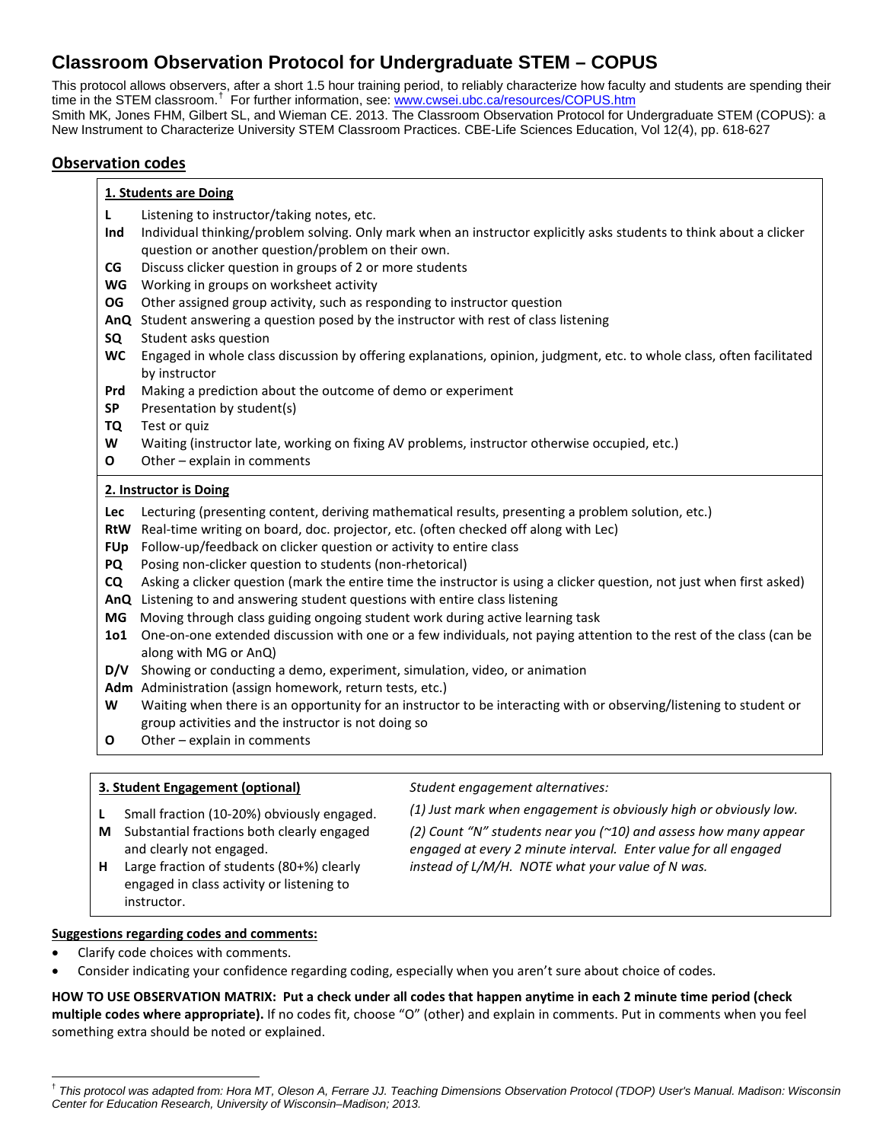# **Classroom Observation Protocol for Undergraduate STEM – COPUS**

This protocol allows observers, after a short 1.5 hour training period, to reliably characterize how faculty and students are spending their time in the STEM classroom.<sup>[†](#page-0-0)</sup> For further information, see: **[www.cwsei.ubc.ca/resources/COPUS.htm](http://www.cwsei.ubc.ca/resources/COPUS.htm)** Smith MK*,* Jones FHM, Gilbert SL, and Wieman CE. 2013. The Classroom Observation Protocol for Undergraduate STEM (COPUS): a New Instrument to Characterize University STEM Classroom Practices. CBE-Life Sciences Education, Vol 12(4), pp. 618-627

## **Observation codes**

#### **1. Students are Doing**

- **L** Listening to instructor/taking notes, etc.
- **Ind** Individual thinking/problem solving. Only mark when an instructor explicitly asks students to think about a clicker question or another question/problem on their own.
- **CG** Discuss clicker question in groups of 2 or more students
- **WG** Working in groups on worksheet activity
- **OG** Other assigned group activity, such as responding to instructor question
- **AnQ** Student answering a question posed by the instructor with rest of class listening
- **SQ** Student asks question
- **WC** Engaged in whole class discussion by offering explanations, opinion, judgment, etc. to whole class, often facilitated by instructor
- **Prd** Making a prediction about the outcome of demo or experiment
- **SP** Presentation by student(s)
- **TQ** Test or quiz
- **W** Waiting (instructor late, working on fixing AV problems, instructor otherwise occupied, etc.)
- **O** Other explain in comments

#### **2. Instructor is Doing**

- **Lec** Lecturing (presenting content, deriving mathematical results, presenting a problem solution, etc.)
- **RtW** Real-time writing on board, doc. projector, etc. (often checked off along with Lec)
- **FUp** Follow-up/feedback on clicker question or activity to entire class
- **PQ** Posing non-clicker question to students (non-rhetorical)
- **CQ** Asking a clicker question (mark the entire time the instructor is using a clicker question, not just when first asked)
- **AnQ** Listening to and answering student questions with entire class listening
- **MG** Moving through class guiding ongoing student work during active learning task
- **1o1** One-on-one extended discussion with one or a few individuals, not paying attention to the rest of the class (can be along with MG or AnQ)
- **D/V** Showing or conducting a demo, experiment, simulation, video, or animation
- **Adm** Administration (assign homework, return tests, etc.)
- **W** Waiting when there is an opportunity for an instructor to be interacting with or observing/listening to student or group activities and the instructor is not doing so
- **O** Other explain in comments

### **3. Student Engagement (optional)**

*Student engagement alternatives:* 

- **L** Small fraction (10-20%) obviously engaged.
- **M** Substantial fractions both clearly engaged and clearly not engaged.
- **H** Large fraction of students (80+%) clearly engaged in class activity or listening to instructor.
- *(1) Just mark when engagement is obviously high or obviously low.*

*(2) Count "N" students near you (~10) and assess how many appear engaged at every 2 minute interval. Enter value for all engaged instead of L/M/H. NOTE what your value of N was.*

#### **Suggestions regarding codes and comments:**

- Clarify code choices with comments.
- Consider indicating your confidence regarding coding, especially when you aren't sure about choice of codes.

**HOW TO USE OBSERVATION MATRIX: Put a check under all codes that happen anytime in each 2 minute time period (check multiple codes where appropriate).** If no codes fit, choose "O" (other) and explain in comments. Put in comments when you feel something extra should be noted or explained.

<span id="page-0-0"></span>† *This protocol was adapted from: Hora MT, Oleson A, Ferrare JJ. Teaching Dimensions Observation Protocol (TDOP) User's Manual. Madison: Wisconsin Center for Education Research, University of Wisconsin–Madison; 2013.*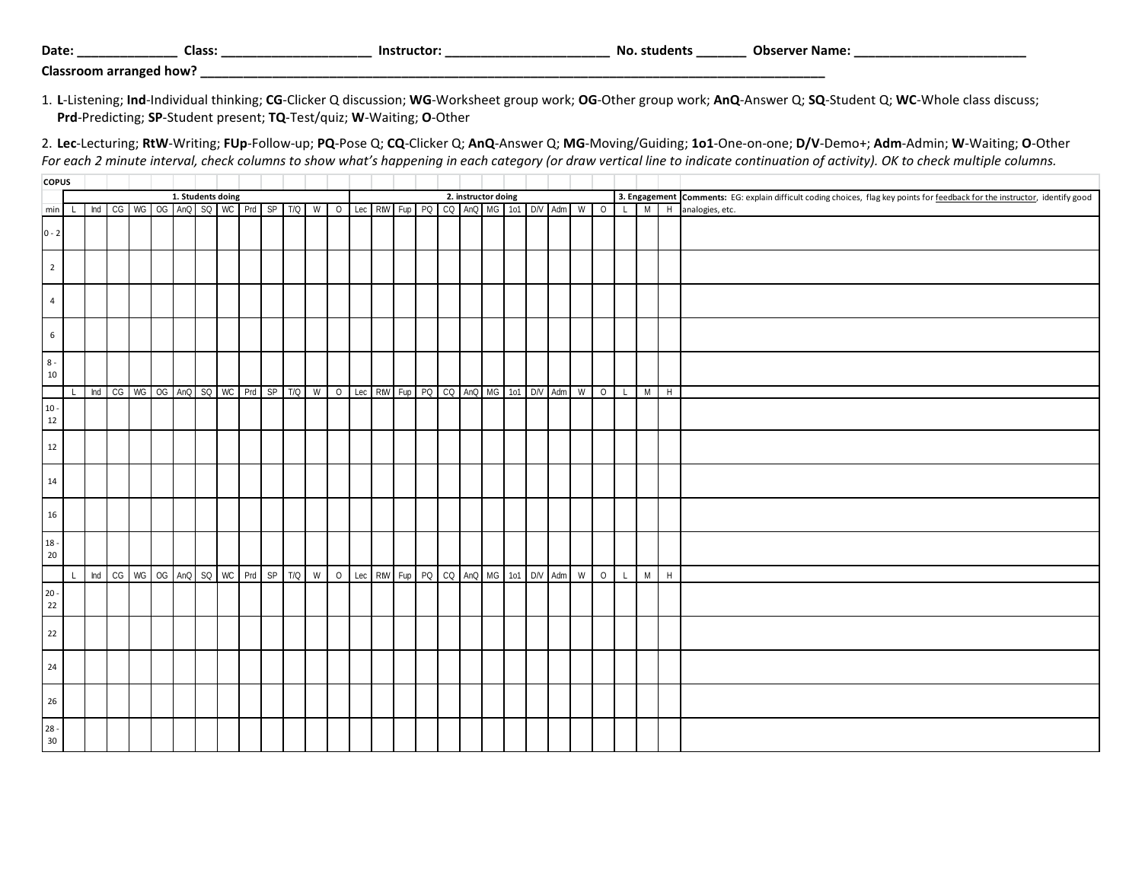| Date:                       | CldSS | INS | N۸<br>. | าหร<br>:ervei<br>Name. |
|-----------------------------|-------|-----|---------|------------------------|
| Class.<br>how:<br>ango<br>. |       |     |         |                        |

1. **L**-Listening; **Ind**-Individual thinking; **CG**-Clicker Q discussion; **WG**-Worksheet group work; **OG**-Other group work; **AnQ**-Answer Q; **SQ**-Student Q; **WC**-Whole class discuss; **Prd**-Predicting; **SP**-Student present; **TQ**-Test/quiz; **W**-Waiting; **O**-Other

2. Lec-Lecturing; RtW-Writing; FUp-Follow-up; PQ-Pose Q; CQ-Clicker Q; AnQ-Answer Q; MG-Moving/Guiding; 101-One-on-one; D/V-Demo+; Adm-Admin; W-Waiting; O-Other *For each 2 minute interval, check columns to show what's happening in each category (or draw vertical line to indicate continuation of activity). OK to check multiple columns.*

|                   | <b>COPUS</b> |                   |  |  |                                                               |  |  |  |  |  |                                                               |         |  |  |  |  |  |  |  |  |                                                                          |  |  |   |         |                                                                                                                              |           |        |                 |
|-------------------|--------------|-------------------|--|--|---------------------------------------------------------------|--|--|--|--|--|---------------------------------------------------------------|---------|--|--|--|--|--|--|--|--|--------------------------------------------------------------------------|--|--|---|---------|------------------------------------------------------------------------------------------------------------------------------|-----------|--------|-----------------|
|                   |              | 1. Students doing |  |  |                                                               |  |  |  |  |  | 2. instructor doing<br>0 Lec RfW Fup PQ CQ AnQ MG 101 D/V Adm |         |  |  |  |  |  |  |  |  |                                                                          |  |  |   |         | 3. Engagement Comments: EG: explain difficult coding choices, flag key points for feedback for the instructor, identify good |           |        |                 |
| min               | $\mathsf{L}$ |                   |  |  | Ind   CG   WG   OG   AnQ   SQ   WC   Prd   SP   T/Q   W       |  |  |  |  |  |                                                               |         |  |  |  |  |  |  |  |  |                                                                          |  |  | W | $\circ$ |                                                                                                                              | M         | H      | analogies, etc. |
| $0 - 2$           |              |                   |  |  |                                                               |  |  |  |  |  |                                                               |         |  |  |  |  |  |  |  |  |                                                                          |  |  |   |         |                                                                                                                              |           |        |                 |
| $\overline{2}$    |              |                   |  |  |                                                               |  |  |  |  |  |                                                               |         |  |  |  |  |  |  |  |  |                                                                          |  |  |   |         |                                                                                                                              |           |        |                 |
| $\overline{4}$    |              |                   |  |  |                                                               |  |  |  |  |  |                                                               |         |  |  |  |  |  |  |  |  |                                                                          |  |  |   |         |                                                                                                                              |           |        |                 |
| 6                 |              |                   |  |  |                                                               |  |  |  |  |  |                                                               |         |  |  |  |  |  |  |  |  |                                                                          |  |  |   |         |                                                                                                                              |           |        |                 |
| $8\,$ -<br>$10\,$ |              |                   |  |  |                                                               |  |  |  |  |  |                                                               |         |  |  |  |  |  |  |  |  |                                                                          |  |  |   |         |                                                                                                                              |           |        |                 |
|                   | $\mathsf{L}$ |                   |  |  |                                                               |  |  |  |  |  |                                                               |         |  |  |  |  |  |  |  |  | Ind CG WG OG AnQ SQ WC Prd SP T/Q W O Lec RW Fup PQ CQ AnQ MG 101 DN Adm |  |  | W | $\circ$ | $\mathsf{L}$                                                                                                                 | $M$ H     |        |                 |
| $10 -$<br>12      |              |                   |  |  |                                                               |  |  |  |  |  |                                                               |         |  |  |  |  |  |  |  |  |                                                                          |  |  |   |         |                                                                                                                              |           |        |                 |
| 12                |              |                   |  |  |                                                               |  |  |  |  |  |                                                               |         |  |  |  |  |  |  |  |  |                                                                          |  |  |   |         |                                                                                                                              |           |        |                 |
| 14                |              |                   |  |  |                                                               |  |  |  |  |  |                                                               |         |  |  |  |  |  |  |  |  |                                                                          |  |  |   |         |                                                                                                                              |           |        |                 |
| 16                |              |                   |  |  |                                                               |  |  |  |  |  |                                                               |         |  |  |  |  |  |  |  |  |                                                                          |  |  |   |         |                                                                                                                              |           |        |                 |
| $18 -$<br>$20\,$  |              |                   |  |  |                                                               |  |  |  |  |  |                                                               |         |  |  |  |  |  |  |  |  |                                                                          |  |  |   |         |                                                                                                                              |           |        |                 |
|                   | $\mathsf L$  |                   |  |  | $\lceil \ln d \rceil$ CG   WG   OG   AnQ   SQ   WC   Prd   SP |  |  |  |  |  |                                                               | $T/Q$ W |  |  |  |  |  |  |  |  | 0   Lec   RtW   Fup   PQ   CQ   AnQ   MG   101   D/V   Adm               |  |  | W | $\circ$ | $\mathbf{L}$                                                                                                                 | ${\sf M}$ | $\,$ H |                 |
| $20 -$<br>$22\,$  |              |                   |  |  |                                                               |  |  |  |  |  |                                                               |         |  |  |  |  |  |  |  |  |                                                                          |  |  |   |         |                                                                                                                              |           |        |                 |
| 22                |              |                   |  |  |                                                               |  |  |  |  |  |                                                               |         |  |  |  |  |  |  |  |  |                                                                          |  |  |   |         |                                                                                                                              |           |        |                 |
| 24                |              |                   |  |  |                                                               |  |  |  |  |  |                                                               |         |  |  |  |  |  |  |  |  |                                                                          |  |  |   |         |                                                                                                                              |           |        |                 |
| 26                |              |                   |  |  |                                                               |  |  |  |  |  |                                                               |         |  |  |  |  |  |  |  |  |                                                                          |  |  |   |         |                                                                                                                              |           |        |                 |
| $28 -$<br>$30\,$  |              |                   |  |  |                                                               |  |  |  |  |  |                                                               |         |  |  |  |  |  |  |  |  |                                                                          |  |  |   |         |                                                                                                                              |           |        |                 |